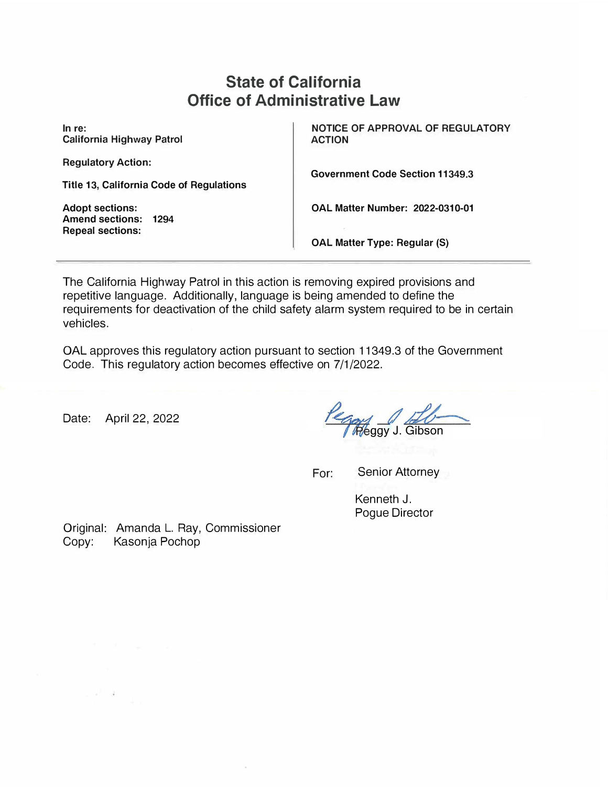# **State of California Office of Administrative Law**

**In re: California Highway Patrol** 

**Regulatory Action:** 

**Title 13, California Code of Regulations** 

**Adopt sections: Amend sections: 1294 Repeal sections:** 

**NOTICE OF APPROVAL OF REGULATORY ACTION** 

**Government Code Section 11349.3** 

**OAL Matter Number: 2022-0310-01** 

**OAL Matter Type: Regular (S)** 

The California Highway Patrol in this action is removing expired provisions and repetitive language. Additionally, language is being amended to define the requirements for deactivation of the child safety alarm system required to be in certain vehicles.

OAL approves this regulatory action pursuant to section 11349.3 of the Government Code. This regulatory action becomes effective on 7/1/2022.

Date: April 22, 2022

ggy J. Gibson

For: Senior Attorney

Kenneth J. Pogue Director

Original: Amanda L. Ray, Commissioner Copy: Kasonja Pochop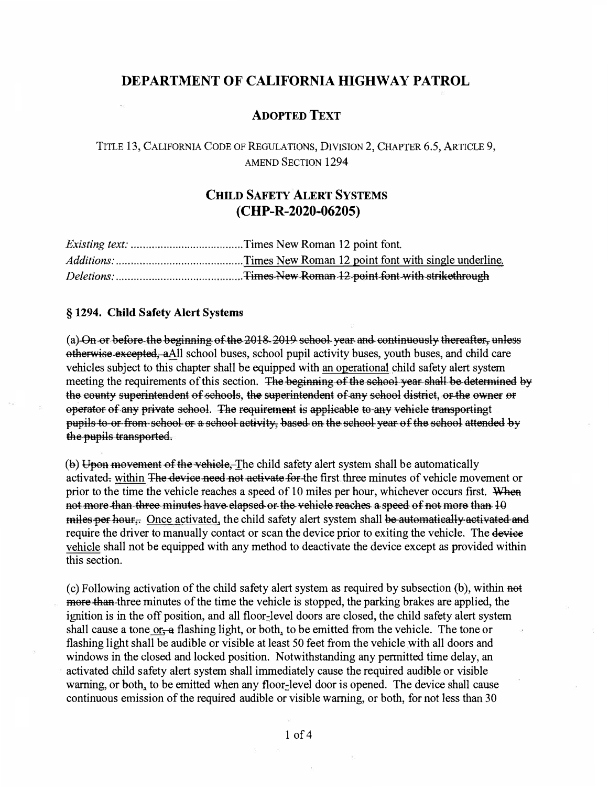### DEPARTMENT OF CALIFORNIA HIGHWAY PATROL

#### **ADOPTED TEXT**

TITLE 13, CALIFORNIA CODE OF REGULATIONS, DIVISION 2, CHAPTER 6.5, ARTICLE 9, **AMEND SECTION 1294** 

## **CHILD SAFETY ALERT SYSTEMS**  $(CHP-R-2020-06205)$

#### § 1294. Child Safety Alert Systems

(a) On or before the beginning of the 2018 2019 school year and continuously thereafter, unless otherwise-excepted, aAll school buses, school pupil activity buses, youth buses, and child care vehicles subject to this chapter shall be equipped with an operational child safety alert system meeting the requirements of this section. The beginning of the school year shall be determined by the county superintendent of schools, the superintendent of any school district, or the owner or operator of any private school. The requirement is applicable to any vehicle transportingt pupils to or from school or a school activity, based on the school year of the school attended by the pupils transported.

(b) Upon movement of the vehicle. The child safety alert system shall be automatically activated, within The device need not activate for the first three minutes of vehicle movement or prior to the time the vehicle reaches a speed of 10 miles per hour, whichever occurs first. When not more than three minutes have elapsed or the vehicle reaches a speed of not more than 10 miles per hour. Once activated, the child safety alert system shall be automatically activated and require the driver to manually contact or scan the device prior to exiting the vehicle. The device vehicle shall not be equipped with any method to deactivate the device except as provided within this section.

(c) Following activation of the child safety alert system as required by subsection (b), within not more than three minutes of the time the vehicle is stopped, the parking brakes are applied, the ignition is in the off position, and all floor-level doors are closed, the child safety alert system shall cause a tone or-a flashing light, or both, to be emitted from the vehicle. The tone or flashing light shall be audible or visible at least 50 feet from the vehicle with all doors and windows in the closed and locked position. Notwithstanding any permitted time delay, an activated child safety alert system shall immediately cause the required audible or visible warning, or both, to be emitted when any floor-level door is opened. The device shall cause continuous emission of the required audible or visible warning, or both, for not less than 30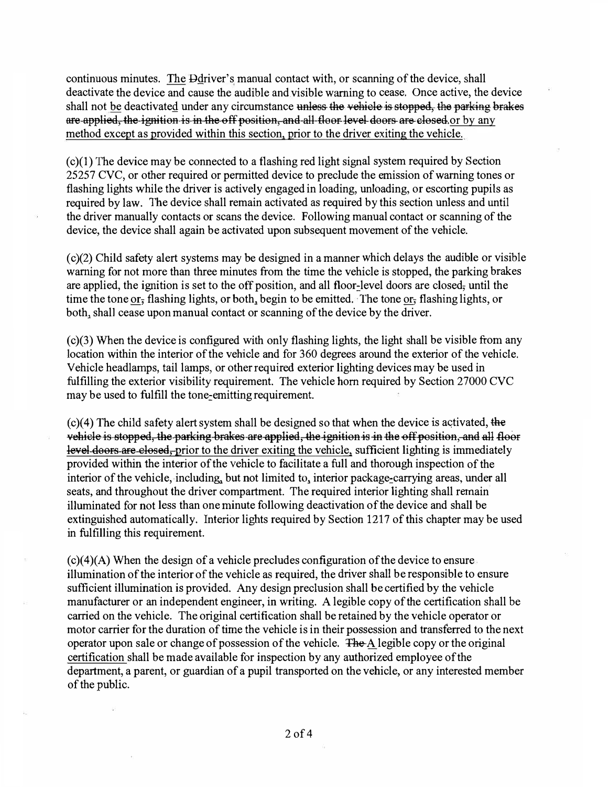continuous minutes. The Deriver's manual contact with, or scanning of the device, shall deactivate the device and cause the audible and visible warning to cease. Once active, the device shall not be deactivated under any circumstance unless the vehiele is stopped, the parking brakes are applied, the ignition is in the off position, and all floor level doors are closed or by any method except as provided within this section, prior to the driver exiting the vehicle.

 $(c)(1)$  The device may be connected to a flashing red light signal system required by Section 25257 CVC, or other required or permitted device to preclude the emission of warning tones or flashing lights while the driver is actively engaged in loading, unloading, or escorting pupils as required by law. The device shall remain activated as required by this section unless and until the driver manually contacts or scans the device. Following manual contact or scanning of the device, the device shall again be activated upon subsequent movement of the vehicle.

( c)(2) Child safety alert systems may be designed in a manner which delays the audible or visible warning for not more than three minutes from the time the vehicle is stopped, the parking brakes are applied, the ignition is set to the off position, and all floor-level doors are closed, until the time the tone or, flashing lights, or both, begin to be emitted. The tone or, flashing lights, or both, shall cease upon manual contact or scanning of the device by the driver.

 $(c)(3)$  When the device is configured with only flashing lights, the light shall be visible from any location within the interior of the vehicle and for 360 degrees around the exterior of the vehicle. Vehicle headlamps, tail lamps, or otherrequired exterior lighting devices may be used in fulfilling the exterior visibility requirement. The vehicle horn required by Section 27000 CVC may be used to fulfill the tone-emitting requirement.

 $(c)(4)$  The child safety alert system shall be designed so that when the device is activated, the vehicle is stopped, the parking brakes are applied, the ignition is in the off position, and all floor level doors are elosed, prior to the driver exiting the vehicle, sufficient lighting is immediately provided within the interior of the vehicle to facilitate a full and thorough inspection of the interior of the vehicle, including, but not limited to, interior package-carrying areas, under all seats, and throughout the driver compartment. The required interior lighting shall remain illuminated for not less than one minute following deactivation of the device and shall be extinguished automatically. Interior lights required by Section 1217 of this chapter may be used in fulfilling this requirement.

 $(c)(4)(A)$  When the design of a vehicle precludes configuration of the device to ensure illumination of the interior of the vehicle as required, the driver shall be responsible to ensure sufficient illumination is provided. Any design preclusion shall be certified by the vehicle manufacturer or an independent engineer, in writing. A legible copy of the certification shall be carried on the vehicle. The original certification shall be retained by the vehicle operator or motor carrier for the duration of time the vehicle is in their possession and transferred to the next operator upon sale or change of possession of the vehicle.  $\overline{FheA}$  legible copy or the original certification shall be made available for inspection by any authorized employee ofthe department, a parent, or guardian of a pupil transported on the vehicle, or any interested member of the public.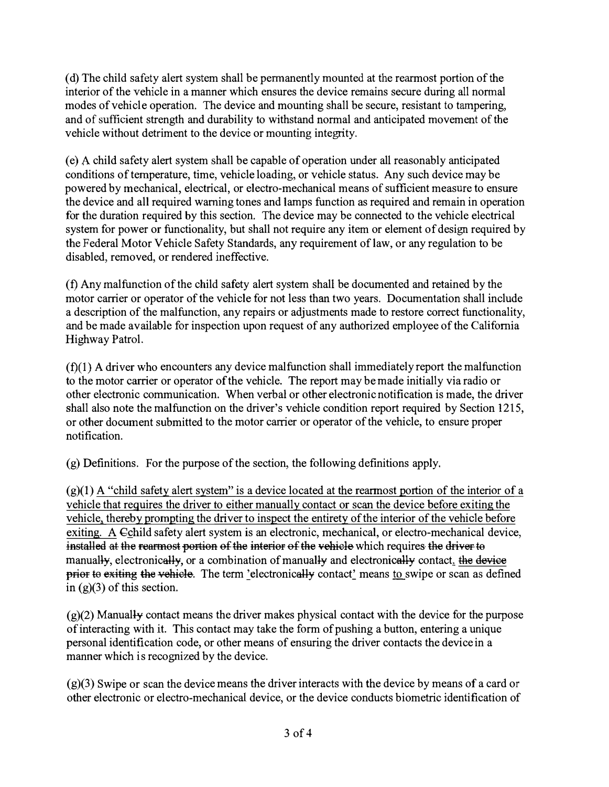( d) The child safety alert system shall be permanently mounted at the rearmost portion of the interior of the vehicle in a manner which ensures the device remains secure during all normal modes of vehicle operation. The device and mounting shall be secure, resistant to tampering, and of sufficient strength and durability to withstand normal and anticipated movement of the vehicle without detriment to the device or mounting integrity.

(e) A child safety alert system shall be capable of operation under all reasonably anticipated conditions of temperature, time, vehicle loading, or vehicle status. Any such device may be powered by mechanical, electrical, or electro-mechanical means of sufficient measure to ensure the device and all required warning tones and lamps function as required and remain in operation for the duration required by this section. The device may be connected to the vehicle electrical system for power or functionality, but shall not require any item or element of design required by the Federal Motor Vehicle Safety Standards, any requirement of law, or any regulation to be disabled, removed, or rendered ineffective.

( f) Any malfunction of the child safety alert system shall be documented and retained by the motor carrier or operator of the vehicle for not less than two years. Documentation shall include a description of the malfunction, any repairs or adjustments made to restore correct functionality, and be made available for inspection upon request of any authorized employee of the California Highway Patrol.

 $(f)(1)$  A driver who encounters any device malfunction shall immediately report the malfunction to the motor carrier or operator of the vehicle. The report may be made initially via radio or other electronic communication. When verbal or other electronic notification is made, the driver shall also note the malfunction on the driver's vehicle condition report required by Section 1215, or other document submitted to the motor carrier or operator ofthe vehicle, to ensure proper notification.

 $(g)$  Definitions. For the purpose of the section, the following definitions apply.

 $(g)(1)$  A "child safety alert system" is a device located at the rearmost portion of the interior of a vehicle that requires the driver to either manually contact or scan the device before exiting the vehicle, thereby prompting the driver to inspect the entirety of the interior of the vehicle before exiting. A Cchild safety alert system is an electronic, mechanical, or electro-mechanical device, installed at the rearmost portion of the interior of the vehicle which requires the driver to manually, electronically, or a combination of manually and electronically contact, the device prior to exiting the vehicle. The term 'electronically contact' means to swipe or scan as defined in  $(g)(3)$  of this section.

 $(g)(2)$  Manually contact means the driver makes physical contact with the device for the purpose of interacting with it. This contact may take the form of pushing a button, entering a unique personal identification code, or other means of ensuring the driver contacts the device in a manner which is recognized by the device.

(g)(3) Swipe or scan the device means the driver interacts with the device by means of a card or other electronic or electro-mechanical device, or the device conducts biometric identification of